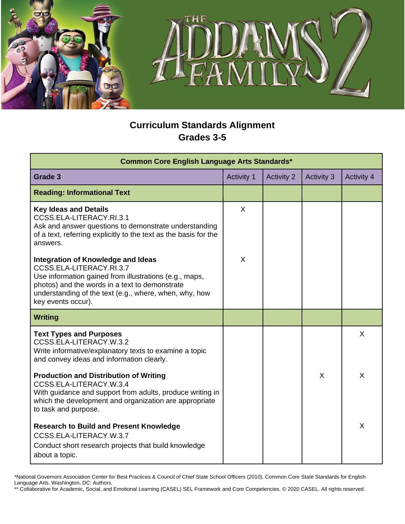

## **Curriculum Standards Alignment Grades 3-5**

| Common Core English Language Arts Standards*                                                                                                                                                                                                               |                   |                   |                   |                   |
|------------------------------------------------------------------------------------------------------------------------------------------------------------------------------------------------------------------------------------------------------------|-------------------|-------------------|-------------------|-------------------|
| Grade 3                                                                                                                                                                                                                                                    | <b>Activity 1</b> | <b>Activity 2</b> | <b>Activity 3</b> | <b>Activity 4</b> |
| <b>Reading: Informational Text</b>                                                                                                                                                                                                                         |                   |                   |                   |                   |
| <b>Key Ideas and Details</b><br>CCSS.ELA-LITERACY.RI.3.1<br>Ask and answer questions to demonstrate understanding<br>of a text, referring explicitly to the text as the basis for the<br>answers.                                                          | $\sf X$           |                   |                   |                   |
| Integration of Knowledge and Ideas<br>CCSS.ELA-LITERACY.RI.3.7<br>Use information gained from illustrations (e.g., maps,<br>photos) and the words in a text to demonstrate<br>understanding of the text (e.g., where, when, why, how<br>key events occur). | X                 |                   |                   |                   |
| <b>Writing</b>                                                                                                                                                                                                                                             |                   |                   |                   |                   |
| <b>Text Types and Purposes</b><br>CCSS.ELA-LITERACY.W.3.2<br>Write informative/explanatory texts to examine a topic<br>and convey ideas and information clearly.                                                                                           |                   |                   |                   | X                 |
| <b>Production and Distribution of Writing</b><br>CCSS.ELA-LITERACY.W.3.4<br>With guidance and support from adults, produce writing in<br>which the development and organization are appropriate<br>to task and purpose.                                    |                   |                   | X                 | X                 |
| <b>Research to Build and Present Knowledge</b><br>CCSS.ELA-LITERACY.W.3.7<br>Conduct short research projects that build knowledge<br>about a topic.                                                                                                        |                   |                   |                   | X                 |

\*National Governors Association Center for Best Practices & Council of Chief State School Officers (2010). Common Core State Standards for English Language Arts. Washington, DC: Authors.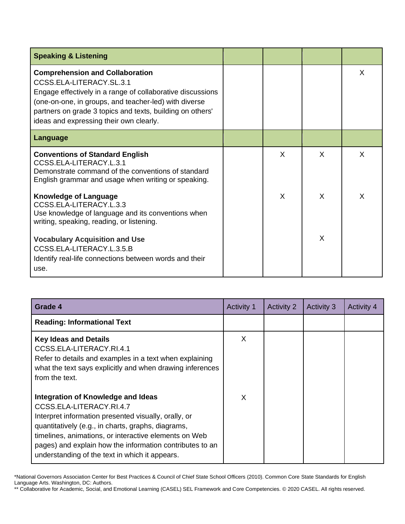| <b>Speaking &amp; Listening</b>                                                                                                                                                                                                                                                                   |   |   |   |
|---------------------------------------------------------------------------------------------------------------------------------------------------------------------------------------------------------------------------------------------------------------------------------------------------|---|---|---|
| <b>Comprehension and Collaboration</b><br>CCSS.ELA-LITERACY.SL.3.1<br>Engage effectively in a range of collaborative discussions<br>(one-on-one, in groups, and teacher-led) with diverse<br>partners on grade 3 topics and texts, building on others'<br>ideas and expressing their own clearly. |   |   | X |
| Language                                                                                                                                                                                                                                                                                          |   |   |   |
| <b>Conventions of Standard English</b><br>CCSS.ELA-LITERACY.L.3.1<br>Demonstrate command of the conventions of standard<br>English grammar and usage when writing or speaking.                                                                                                                    | X | X | X |
| <b>Knowledge of Language</b><br>CCSS.ELA-LITERACY.L.3.3<br>Use knowledge of language and its conventions when<br>writing, speaking, reading, or listening.                                                                                                                                        | X | X | X |
| <b>Vocabulary Acquisition and Use</b><br>CCSS.ELA-LITERACY.L.3.5.B<br>Identify real-life connections between words and their<br>use.                                                                                                                                                              |   | X |   |

| Grade 4                                                                                                                                                                                                                                                                                                                                             | <b>Activity 1</b> | <b>Activity 2</b> | <b>Activity 3</b> | <b>Activity 4</b> |
|-----------------------------------------------------------------------------------------------------------------------------------------------------------------------------------------------------------------------------------------------------------------------------------------------------------------------------------------------------|-------------------|-------------------|-------------------|-------------------|
| <b>Reading: Informational Text</b>                                                                                                                                                                                                                                                                                                                  |                   |                   |                   |                   |
| <b>Key Ideas and Details</b><br>CCSS.ELA-LITERACY.RI.4.1<br>Refer to details and examples in a text when explaining<br>what the text says explicitly and when drawing inferences<br>from the text.                                                                                                                                                  | X                 |                   |                   |                   |
| Integration of Knowledge and Ideas<br>CCSS.ELA-LITERACY.RI.4.7<br>Interpret information presented visually, orally, or<br>quantitatively (e.g., in charts, graphs, diagrams,<br>timelines, animations, or interactive elements on Web<br>pages) and explain how the information contributes to an<br>understanding of the text in which it appears. | X                 |                   |                   |                   |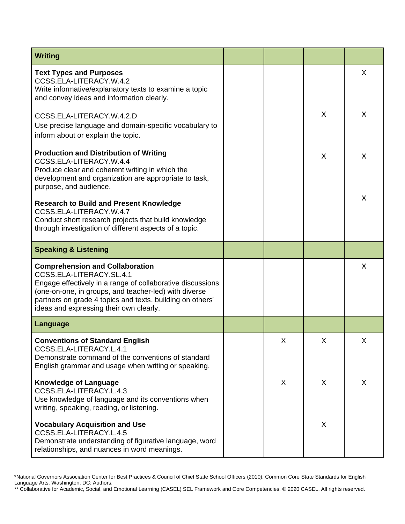| <b>Writing</b>                                                                                                                                                                                                                                                                                    |   |   |         |
|---------------------------------------------------------------------------------------------------------------------------------------------------------------------------------------------------------------------------------------------------------------------------------------------------|---|---|---------|
| <b>Text Types and Purposes</b><br>CCSS.ELA-LITERACY.W.4.2<br>Write informative/explanatory texts to examine a topic<br>and convey ideas and information clearly.                                                                                                                                  |   |   | X       |
| CCSS.ELA-LITERACY.W.4.2.D<br>Use precise language and domain-specific vocabulary to<br>inform about or explain the topic.                                                                                                                                                                         |   | X | $\sf X$ |
| <b>Production and Distribution of Writing</b><br>CCSS.ELA-LITERACY.W.4.4<br>Produce clear and coherent writing in which the<br>development and organization are appropriate to task,<br>purpose, and audience.                                                                                    |   | X | $\sf X$ |
| <b>Research to Build and Present Knowledge</b><br>CCSS.ELA-LITERACY.W.4.7<br>Conduct short research projects that build knowledge<br>through investigation of different aspects of a topic.                                                                                                       |   |   | $\sf X$ |
| <b>Speaking &amp; Listening</b>                                                                                                                                                                                                                                                                   |   |   |         |
| <b>Comprehension and Collaboration</b><br>CCSS.ELA-LITERACY.SL.4.1<br>Engage effectively in a range of collaborative discussions<br>(one-on-one, in groups, and teacher-led) with diverse<br>partners on grade 4 topics and texts, building on others'<br>ideas and expressing their own clearly. |   |   | X       |
| <b>Language</b>                                                                                                                                                                                                                                                                                   |   |   |         |
| <b>Conventions of Standard English</b><br>CCSS.ELA-LITERACY.L.4.1<br>Demonstrate command of the conventions of standard<br>English grammar and usage when writing or speaking.                                                                                                                    | X | X | X       |
| <b>Knowledge of Language</b><br>CCSS.ELA-LITERACY.L.4.3<br>Use knowledge of language and its conventions when<br>writing, speaking, reading, or listening.                                                                                                                                        | X | X | X       |
| <b>Vocabulary Acquisition and Use</b><br>CCSS.ELA-LITERACY.L.4.5<br>Demonstrate understanding of figurative language, word<br>relationships, and nuances in word meanings.                                                                                                                        |   | X |         |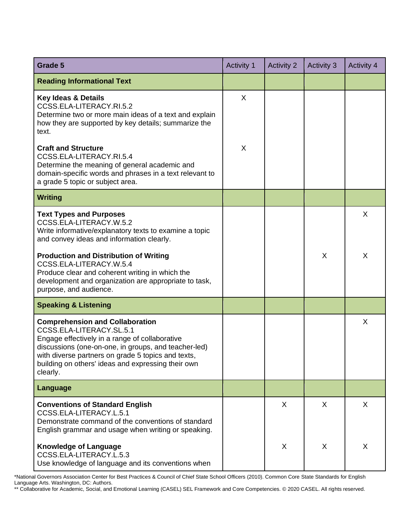| Grade 5                                                                                                                                                                                                                                                                                              | <b>Activity 1</b> | <b>Activity 2</b> | <b>Activity 3</b> | <b>Activity 4</b> |
|------------------------------------------------------------------------------------------------------------------------------------------------------------------------------------------------------------------------------------------------------------------------------------------------------|-------------------|-------------------|-------------------|-------------------|
| <b>Reading Informational Text</b>                                                                                                                                                                                                                                                                    |                   |                   |                   |                   |
| <b>Key Ideas &amp; Details</b><br>CCSS.ELA-LITERACY.RI.5.2<br>Determine two or more main ideas of a text and explain<br>how they are supported by key details; summarize the<br>text.                                                                                                                | X                 |                   |                   |                   |
| <b>Craft and Structure</b><br>CCSS.ELA-LITERACY.RI.5.4<br>Determine the meaning of general academic and<br>domain-specific words and phrases in a text relevant to<br>a grade 5 topic or subject area.                                                                                               | X                 |                   |                   |                   |
| <b>Writing</b>                                                                                                                                                                                                                                                                                       |                   |                   |                   |                   |
| <b>Text Types and Purposes</b><br>CCSS.ELA-LITERACY.W.5.2<br>Write informative/explanatory texts to examine a topic<br>and convey ideas and information clearly.                                                                                                                                     |                   |                   |                   | X                 |
| <b>Production and Distribution of Writing</b><br>CCSS.ELA-LITERACY.W.5.4<br>Produce clear and coherent writing in which the<br>development and organization are appropriate to task,<br>purpose, and audience.                                                                                       |                   |                   | X                 | X                 |
| <b>Speaking &amp; Listening</b>                                                                                                                                                                                                                                                                      |                   |                   |                   |                   |
| <b>Comprehension and Collaboration</b><br>CCSS.ELA-LITERACY.SL.5.1<br>Engage effectively in a range of collaborative<br>discussions (one-on-one, in groups, and teacher-led)<br>with diverse partners on grade 5 topics and texts,<br>building on others' ideas and expressing their own<br>clearly. |                   |                   |                   | X                 |
| <b>Language</b>                                                                                                                                                                                                                                                                                      |                   |                   |                   |                   |
| <b>Conventions of Standard English</b><br>CCSS.ELA-LITERACY.L.5.1<br>Demonstrate command of the conventions of standard<br>English grammar and usage when writing or speaking.                                                                                                                       |                   | X                 | X                 | X                 |
| <b>Knowledge of Language</b><br>CCSS.ELA-LITERACY.L.5.3<br>Use knowledge of language and its conventions when                                                                                                                                                                                        |                   | X                 | X                 | X                 |